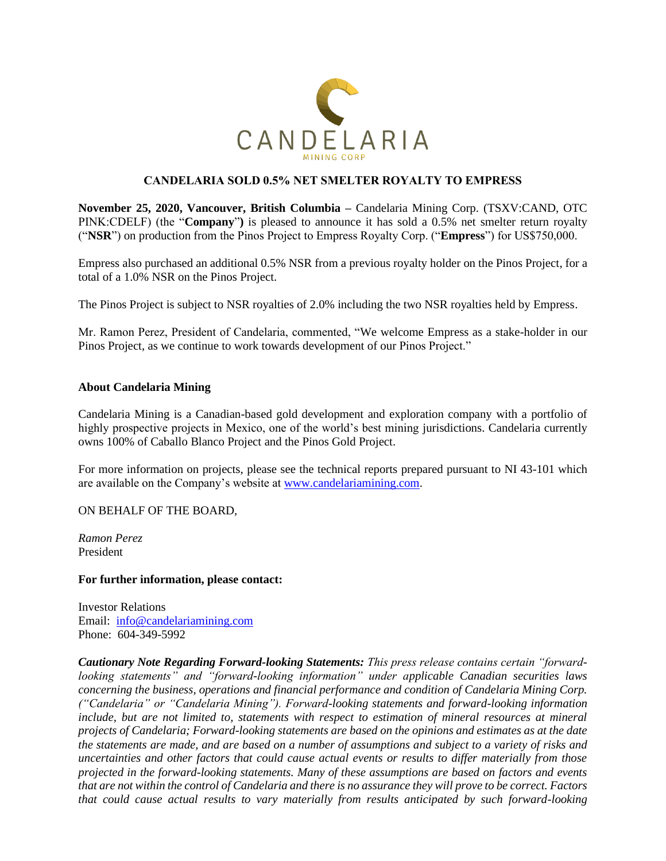

## **CANDELARIA SOLD 0.5% NET SMELTER ROYALTY TO EMPRESS**

**November 25, 2020, Vancouver, British Columbia –** Candelaria Mining Corp. (TSXV:CAND, OTC PINK:CDELF) (the "**Company**"**)** is pleased to announce it has sold a 0.5% net smelter return royalty ("**NSR**") on production from the Pinos Project to Empress Royalty Corp. ("**Empress**") for US\$750,000.

Empress also purchased an additional 0.5% NSR from a previous royalty holder on the Pinos Project, for a total of a 1.0% NSR on the Pinos Project.

The Pinos Project is subject to NSR royalties of 2.0% including the two NSR royalties held by Empress.

Mr. Ramon Perez, President of Candelaria, commented, "We welcome Empress as a stake-holder in our Pinos Project, as we continue to work towards development of our Pinos Project."

## **About Candelaria Mining**

Candelaria Mining is a Canadian-based gold development and exploration company with a portfolio of highly prospective projects in Mexico, one of the world's best mining jurisdictions. Candelaria currently owns 100% of Caballo Blanco Project and the Pinos Gold Project.

For more information on projects, please see the technical reports prepared pursuant to NI 43-101 which are available on the Company's website at [www.candelariamining.com.](http://www.candelariamining.com/)

ON BEHALF OF THE BOARD,

*Ramon Perez* President

## **For further information, please contact:**

Investor Relations Email: [info@candelariamining.com](mailto:info@candelariamining.com) Phone: 604-349-5992

*Cautionary Note Regarding Forward-looking Statements: This press release contains certain "forwardlooking statements" and "forward-looking information" under applicable Canadian securities laws concerning the business, operations and financial performance and condition of Candelaria Mining Corp. ("Candelaria" or "Candelaria Mining"). Forward-looking statements and forward-looking information include, but are not limited to, statements with respect to estimation of mineral resources at mineral projects of Candelaria; Forward-looking statements are based on the opinions and estimates as at the date the statements are made, and are based on a number of assumptions and subject to a variety of risks and uncertainties and other factors that could cause actual events or results to differ materially from those projected in the forward-looking statements. Many of these assumptions are based on factors and events that are not within the control of Candelaria and there is no assurance they will prove to be correct. Factors that could cause actual results to vary materially from results anticipated by such forward-looking*